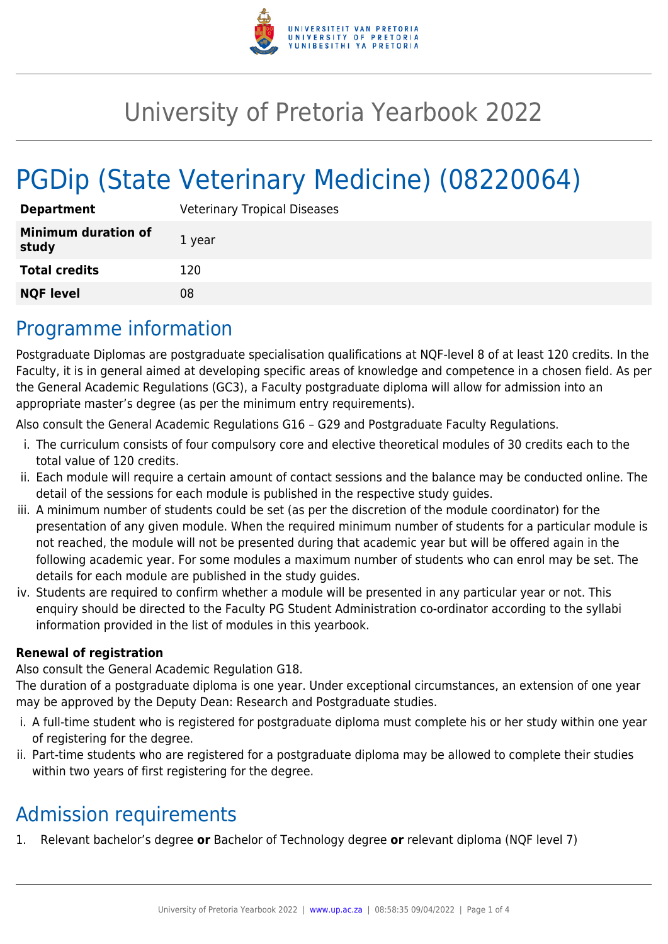

# University of Pretoria Yearbook 2022

# PGDip (State Veterinary Medicine) (08220064)

| <b>Department</b>                   | <b>Veterinary Tropical Diseases</b> |
|-------------------------------------|-------------------------------------|
| <b>Minimum duration of</b><br>study | 1 year                              |
| <b>Total credits</b>                | 120                                 |
| <b>NQF level</b>                    | 08                                  |

### Programme information

Postgraduate Diplomas are postgraduate specialisation qualifications at NQF-level 8 of at least 120 credits. In the Faculty, it is in general aimed at developing specific areas of knowledge and competence in a chosen field. As per the General Academic Regulations (GC3), a Faculty postgraduate diploma will allow for admission into an appropriate master's degree (as per the minimum entry requirements).

Also consult the General Academic Regulations G16 – G29 and Postgraduate Faculty Regulations.

- i. The curriculum consists of four compulsory core and elective theoretical modules of 30 credits each to the total value of 120 credits.
- ii. Each module will require a certain amount of contact sessions and the balance may be conducted online. The detail of the sessions for each module is published in the respective study guides.
- iii. A minimum number of students could be set (as per the discretion of the module coordinator) for the presentation of any given module. When the required minimum number of students for a particular module is not reached, the module will not be presented during that academic year but will be offered again in the following academic year. For some modules a maximum number of students who can enrol may be set. The details for each module are published in the study guides.
- iv. Students are required to confirm whether a module will be presented in any particular year or not. This enquiry should be directed to the Faculty PG Student Administration co-ordinator according to the syllabi information provided in the list of modules in this yearbook.

#### **Renewal of registration**

Also consult the General Academic Regulation G18.

The duration of a postgraduate diploma is one year. Under exceptional circumstances, an extension of one year may be approved by the Deputy Dean: Research and Postgraduate studies.

- i. A full-time student who is registered for postgraduate diploma must complete his or her study within one year of registering for the degree.
- ii. Part-time students who are registered for a postgraduate diploma may be allowed to complete their studies within two years of first registering for the degree.

### Admission requirements

1. Relevant bachelor's degree **or** Bachelor of Technology degree **or** relevant diploma (NQF level 7)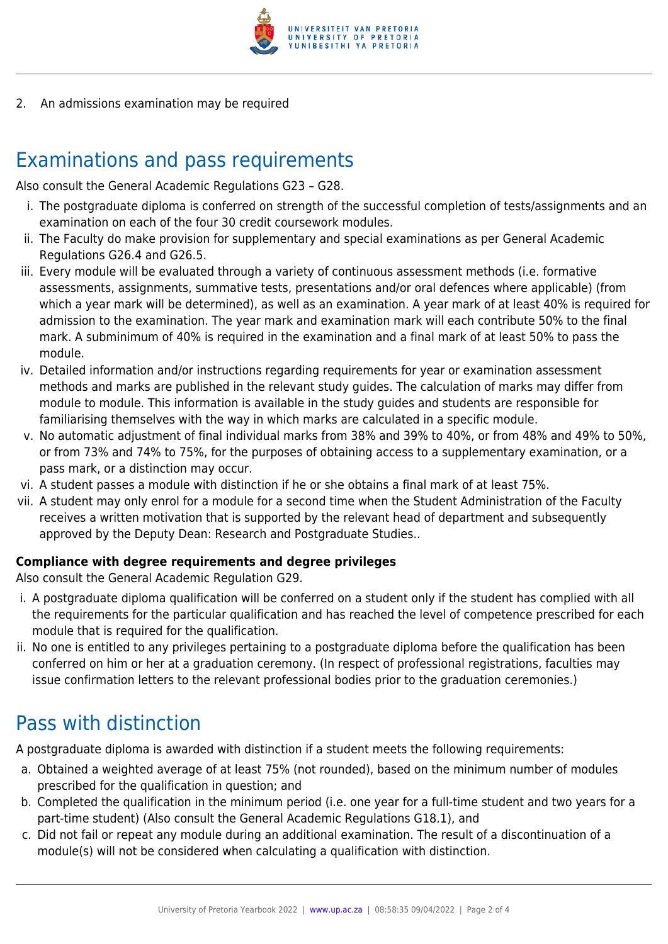

2. An admissions examination may be required

## Examinations and pass requirements

Also consult the General Academic Regulations G23 – G28.

- i. The postgraduate diploma is conferred on strength of the successful completion of tests/assignments and an examination on each of the four 30 credit coursework modules.
- ii. The Faculty do make provision for supplementary and special examinations as per General Academic Regulations G26.4 and G26.5.
- iii. Every module will be evaluated through a variety of continuous assessment methods (i.e. formative assessments, assignments, summative tests, presentations and/or oral defences where applicable) (from which a year mark will be determined), as well as an examination. A year mark of at least 40% is required for admission to the examination. The year mark and examination mark will each contribute 50% to the final mark. A subminimum of 40% is required in the examination and a final mark of at least 50% to pass the module.
- iv. Detailed information and/or instructions regarding requirements for year or examination assessment methods and marks are published in the relevant study guides. The calculation of marks may differ from module to module. This information is available in the study guides and students are responsible for familiarising themselves with the way in which marks are calculated in a specific module.
- v. No automatic adjustment of final individual marks from 38% and 39% to 40%, or from 48% and 49% to 50%, or from 73% and 74% to 75%, for the purposes of obtaining access to a supplementary examination, or a pass mark, or a distinction may occur.
- vi. A student passes a module with distinction if he or she obtains a final mark of at least 75%.
- vii. A student may only enrol for a module for a second time when the Student Administration of the Faculty receives a written motivation that is supported by the relevant head of department and subsequently approved by the Deputy Dean: Research and Postgraduate Studies..

#### **Compliance with degree requirements and degree privileges**

Also consult the General Academic Regulation G29.

- i. A postgraduate diploma qualification will be conferred on a student only if the student has complied with all the requirements for the particular qualification and has reached the level of competence prescribed for each module that is required for the qualification.
- ii. No one is entitled to any privileges pertaining to a postgraduate diploma before the qualification has been conferred on him or her at a graduation ceremony. (In respect of professional registrations, faculties may issue confirmation letters to the relevant professional bodies prior to the graduation ceremonies.)

## Pass with distinction

A postgraduate diploma is awarded with distinction if a student meets the following requirements:

- a. Obtained a weighted average of at least 75% (not rounded), based on the minimum number of modules prescribed for the qualification in question; and
- b. Completed the qualification in the minimum period (i.e. one year for a full-time student and two years for a part-time student) (Also consult the General Academic Regulations G18.1), and
- c. Did not fail or repeat any module during an additional examination. The result of a discontinuation of a module(s) will not be considered when calculating a qualification with distinction.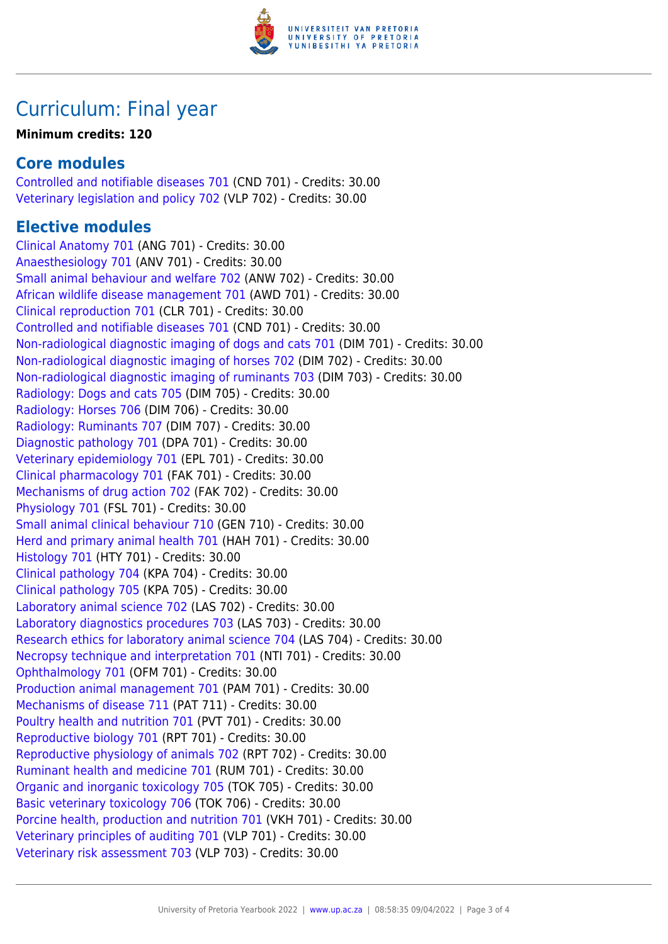

## Curriculum: Final year

#### **Minimum credits: 120**

### **Core modules**

[Controlled and notifiable diseases 701](https://www.up.ac.za/faculty-of-education/yearbooks/2022/modules/view/CND 701) (CND 701) - Credits: 30.00 [Veterinary legislation and policy 702](https://www.up.ac.za/faculty-of-education/yearbooks/2022/modules/view/VLP 702) (VLP 702) - Credits: 30.00

### **Elective modules**

[Clinical Anatomy 701](https://www.up.ac.za/faculty-of-education/yearbooks/2022/modules/view/ANG 701) (ANG 701) - Credits: 30.00 [Anaesthesiology 701](https://www.up.ac.za/faculty-of-education/yearbooks/2022/modules/view/ANV 701) (ANV 701) - Credits: 30.00 [Small animal behaviour and welfare 702](https://www.up.ac.za/faculty-of-education/yearbooks/2022/modules/view/ANW 702) (ANW 702) - Credits: 30.00 [African wildlife disease management 701](https://www.up.ac.za/faculty-of-education/yearbooks/2022/modules/view/AWD 701) (AWD 701) - Credits: 30.00 [Clinical reproduction 701](https://www.up.ac.za/faculty-of-education/yearbooks/2022/modules/view/CLR 701) (CLR 701) - Credits: 30.00 [Controlled and notifiable diseases 701](https://www.up.ac.za/faculty-of-education/yearbooks/2022/modules/view/CND 701) (CND 701) - Credits: 30.00 [Non-radiological diagnostic imaging of dogs and cats 701](https://www.up.ac.za/faculty-of-education/yearbooks/2022/modules/view/DIM 701) (DIM 701) - Credits: 30.00 [Non-radiological diagnostic imaging of horses 702](https://www.up.ac.za/faculty-of-education/yearbooks/2022/modules/view/DIM 702) (DIM 702) - Credits: 30.00 [Non-radiological diagnostic imaging of ruminants 703](https://www.up.ac.za/faculty-of-education/yearbooks/2022/modules/view/DIM 703) (DIM 703) - Credits: 30.00 [Radiology: Dogs and cats 705](https://www.up.ac.za/faculty-of-education/yearbooks/2022/modules/view/DIM 705) (DIM 705) - Credits: 30.00 [Radiology: Horses 706](https://www.up.ac.za/faculty-of-education/yearbooks/2022/modules/view/DIM 706) (DIM 706) - Credits: 30.00 [Radiology: Ruminants 707](https://www.up.ac.za/faculty-of-education/yearbooks/2022/modules/view/DIM 707) (DIM 707) - Credits: 30.00 [Diagnostic pathology 701](https://www.up.ac.za/faculty-of-education/yearbooks/2022/modules/view/DPA 701) (DPA 701) - Credits: 30.00 [Veterinary epidemiology 701](https://www.up.ac.za/faculty-of-education/yearbooks/2022/modules/view/EPL 701) (EPL 701) - Credits: 30.00 [Clinical pharmacology 701](https://www.up.ac.za/faculty-of-education/yearbooks/2022/modules/view/FAK 701) (FAK 701) - Credits: 30.00 [Mechanisms of drug action 702](https://www.up.ac.za/faculty-of-education/yearbooks/2022/modules/view/FAK 702) (FAK 702) - Credits: 30.00 [Physiology 701](https://www.up.ac.za/faculty-of-education/yearbooks/2022/modules/view/FSL 701) (FSL 701) - Credits: 30.00 [Small animal clinical behaviour 710](https://www.up.ac.za/faculty-of-education/yearbooks/2022/modules/view/GEN 710) (GEN 710) - Credits: 30.00 [Herd and primary animal health 701](https://www.up.ac.za/faculty-of-education/yearbooks/2022/modules/view/HAH 701) (HAH 701) - Credits: 30.00 [Histology 701](https://www.up.ac.za/faculty-of-education/yearbooks/2022/modules/view/HTY 701) (HTY 701) - Credits: 30.00 [Clinical pathology 704](https://www.up.ac.za/faculty-of-education/yearbooks/2022/modules/view/KPA 704) (KPA 704) - Credits: 30.00 [Clinical pathology 705](https://www.up.ac.za/faculty-of-education/yearbooks/2022/modules/view/KPA 705) (KPA 705) - Credits: 30.00 [Laboratory animal science 702](https://www.up.ac.za/faculty-of-education/yearbooks/2022/modules/view/LAS 702) (LAS 702) - Credits: 30.00 [Laboratory diagnostics procedures 703](https://www.up.ac.za/faculty-of-education/yearbooks/2022/modules/view/LAS 703) (LAS 703) - Credits: 30.00 [Research ethics for laboratory animal science 704](https://www.up.ac.za/faculty-of-education/yearbooks/2022/modules/view/LAS 704) (LAS 704) - Credits: 30.00 [Necropsy technique and interpretation 701](https://www.up.ac.za/faculty-of-education/yearbooks/2022/modules/view/NTI 701) (NTI 701) - Credits: 30.00 [Ophthalmology 701](https://www.up.ac.za/faculty-of-education/yearbooks/2022/modules/view/OFM 701) (OFM 701) - Credits: 30.00 [Production animal management 701](https://www.up.ac.za/faculty-of-education/yearbooks/2022/modules/view/PAM 701) (PAM 701) - Credits: 30.00 [Mechanisms of disease 711](https://www.up.ac.za/faculty-of-education/yearbooks/2022/modules/view/PAT 711) (PAT 711) - Credits: 30.00 [Poultry health and nutrition 701](https://www.up.ac.za/faculty-of-education/yearbooks/2022/modules/view/PVT 701) (PVT 701) - Credits: 30.00 [Reproductive biology 701](https://www.up.ac.za/faculty-of-education/yearbooks/2022/modules/view/RPT 701) (RPT 701) - Credits: 30.00 [Reproductive physiology of animals 702](https://www.up.ac.za/faculty-of-education/yearbooks/2022/modules/view/RPT 702) (RPT 702) - Credits: 30.00 [Ruminant health and medicine 701](https://www.up.ac.za/faculty-of-education/yearbooks/2022/modules/view/RUM 701) (RUM 701) - Credits: 30.00 [Organic and inorganic toxicology 705](https://www.up.ac.za/faculty-of-education/yearbooks/2022/modules/view/TOK 705) (TOK 705) - Credits: 30.00 [Basic veterinary toxicology 706](https://www.up.ac.za/faculty-of-education/yearbooks/2022/modules/view/TOK 706) (TOK 706) - Credits: 30.00 [Porcine health, production and nutrition 701](https://www.up.ac.za/faculty-of-education/yearbooks/2022/modules/view/VKH 701) (VKH 701) - Credits: 30.00 [Veterinary principles of auditing 701](https://www.up.ac.za/faculty-of-education/yearbooks/2022/modules/view/VLP 701) (VLP 701) - Credits: 30.00 [Veterinary risk assessment 703](https://www.up.ac.za/faculty-of-education/yearbooks/2022/modules/view/VLP 703) (VLP 703) - Credits: 30.00